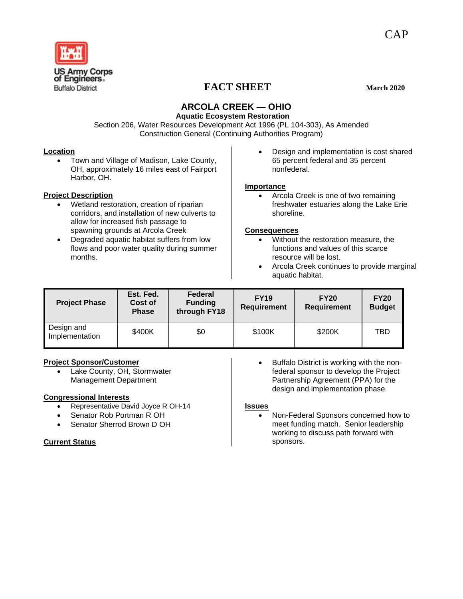

# **FACT SHEET** March 2020

# **ARCOLA CREEK — OHIO**

 **Aquatic Ecosystem Restoration** Section 206, Water Resources Development Act 1996 (PL 104-303), As Amended Construction General (Continuing Authorities Program)

## **Location**

• Town and Village of Madison, Lake County, OH, approximately 16 miles east of Fairport Harbor, OH.

## **Project Description**

- Wetland restoration, creation of riparian corridors, and installation of new culverts to allow for increased fish passage to spawning grounds at Arcola Creek
- Degraded aquatic habitat suffers from low flows and poor water quality during summer months.

• Design and implementation is cost shared 65 percent federal and 35 percent nonfederal.

# **Importance**

• Arcola Creek is one of two remaining freshwater estuaries along the Lake Erie shoreline.

# **Consequences**

- Without the restoration measure, the functions and values of this scarce resource will be lost.
- Arcola Creek continues to provide marginal aquatic habitat.

| <b>Project Phase</b>         | Est. Fed.<br>Cost of<br><b>Phase</b> | Federal<br><b>Funding</b><br>through FY18 | <b>FY19</b><br><b>Requirement</b> | <b>FY20</b><br><b>Requirement</b> | <b>FY20</b><br><b>Budget</b> |
|------------------------------|--------------------------------------|-------------------------------------------|-----------------------------------|-----------------------------------|------------------------------|
| Design and<br>Implementation | \$400K                               | \$0                                       | \$100K                            | \$200K                            | TBD                          |

# **Project Sponsor/Customer**

• Lake County, OH, Stormwater Management Department

## **Congressional Interests**

- Representative David Joyce R OH-14
- Senator Rob Portman R OH
- Senator Sherrod Brown D OH

# **Current Status**

Buffalo District is working with the nonfederal sponsor to develop the Project Partnership Agreement (PPA) for the design and implementation phase.

## **Issues**

• Non-Federal Sponsors concerned how to meet funding match. Senior leadership working to discuss path forward with sponsors.